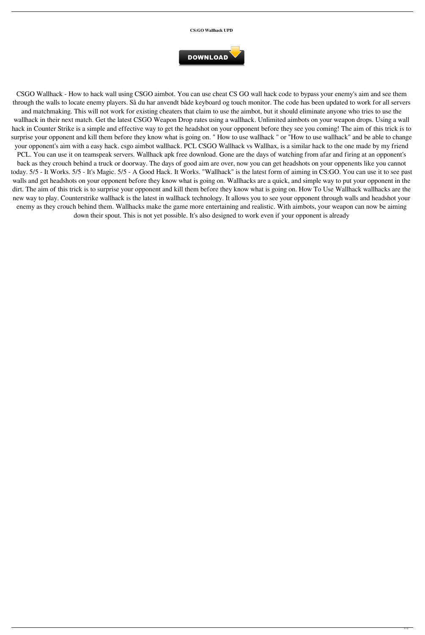## **CS:GO Wallhack UPD**



CSGO Wallhack - How to hack wall using CSGO aimbot. You can use cheat CS GO wall hack code to bypass your enemy's aim and see them through the walls to locate enemy players. Så du har anvendt både keyboard og touch monitor. The code has been updated to work for all servers and matchmaking. This will not work for existing cheaters that claim to use the aimbot, but it should eliminate anyone who tries to use the wallhack in their next match. Get the latest CSGO Weapon Drop rates using a wallhack. Unlimited aimbots on your weapon drops. Using a wall hack in Counter Strike is a simple and effective way to get the headshot on your opponent before they see you coming! The aim of this trick is to surprise your opponent and kill them before they know what is going on. " How to use wallhack " or "How to use wallhack" and be able to change your opponent's aim with a easy hack. csgo aimbot wallhack. PCL CSGO Wallhack vs Wallhax, is a similar hack to the one made by my friend PCL. You can use it on teamspeak servers. Wallhack apk free download. Gone are the days of watching from afar and firing at an opponent's back as they crouch behind a truck or doorway. The days of good aim are over, now you can get headshots on your oppenents like you cannot today. 5/5 - It Works. 5/5 - It's Magic. 5/5 - A Good Hack. It Works. "Wallhack" is the latest form of aiming in CS:GO. You can use it to see past walls and get headshots on your opponent before they know what is going on. Wallhacks are a quick, and simple way to put your opponent in the dirt. The aim of this trick is to surprise your opponent and kill them before they know what is going on. How To Use Wallhack wallhacks are the new way to play. Counterstrike wallhack is the latest in wallhack technology. It allows you to see your opponent through walls and headshot your enemy as they crouch behind them. Wallhacks make the game more entertaining and realistic. With aimbots, your weapon can now be aiming down their spout. This is not yet possible. It's also designed to work even if your opponent is already